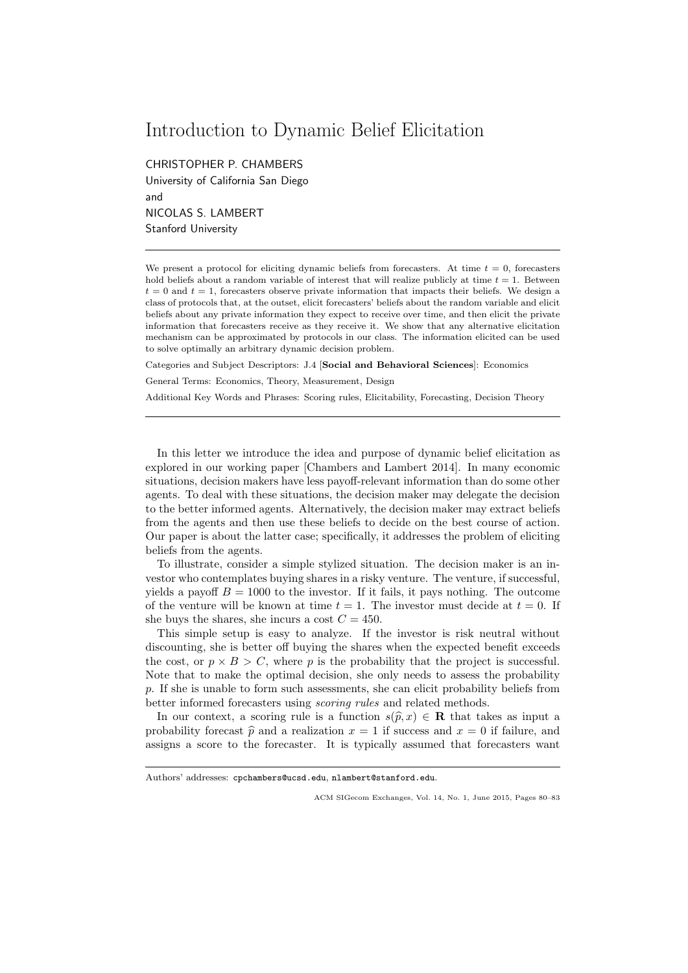## Introduction to Dynamic Belief Elicitation

CHRISTOPHER P. CHAMBERS University of California San Diego and NICOLAS S. LAMBERT Stanford University

We present a protocol for eliciting dynamic beliefs from forecasters. At time  $t = 0$ , forecasters hold beliefs about a random variable of interest that will realize publicly at time  $t = 1$ . Between  $t = 0$  and  $t = 1$ , forecasters observe private information that impacts their beliefs. We design a class of protocols that, at the outset, elicit forecasters' beliefs about the random variable and elicit beliefs about any private information they expect to receive over time, and then elicit the private information that forecasters receive as they receive it. We show that any alternative elicitation mechanism can be approximated by protocols in our class. The information elicited can be used to solve optimally an arbitrary dynamic decision problem.

Categories and Subject Descriptors: J.4 [Social and Behavioral Sciences]: Economics

General Terms: Economics, Theory, Measurement, Design

Additional Key Words and Phrases: Scoring rules, Elicitability, Forecasting, Decision Theory

In this letter we introduce the idea and purpose of dynamic belief elicitation as explored in our working paper [Chambers and Lambert 2014]. In many economic situations, decision makers have less payoff-relevant information than do some other agents. To deal with these situations, the decision maker may delegate the decision to the better informed agents. Alternatively, the decision maker may extract beliefs from the agents and then use these beliefs to decide on the best course of action. Our paper is about the latter case; specifically, it addresses the problem of eliciting beliefs from the agents.

To illustrate, consider a simple stylized situation. The decision maker is an investor who contemplates buying shares in a risky venture. The venture, if successful, yields a payoff  $B = 1000$  to the investor. If it fails, it pays nothing. The outcome of the venture will be known at time  $t = 1$ . The investor must decide at  $t = 0$ . If she buys the shares, she incurs a cost  $C = 450$ .

This simple setup is easy to analyze. If the investor is risk neutral without discounting, she is better off buying the shares when the expected benefit exceeds the cost, or  $p \times B > C$ , where p is the probability that the project is successful. Note that to make the optimal decision, she only needs to assess the probability p. If she is unable to form such assessments, she can elicit probability beliefs from better informed forecasters using scoring rules and related methods.

In our context, a scoring rule is a function  $s(\hat{p}, x) \in \mathbf{R}$  that takes as input a probability forecast  $\hat{p}$  and a realization  $x = 1$  if success and  $x = 0$  if failure, and assigns a score to the forecaster. It is typically assumed that forecasters want

Authors' addresses: cpchambers@ucsd.edu, nlambert@stanford.edu.

ACM SIGecom Exchanges, Vol. 14, No. 1, June 2015, Pages 80–83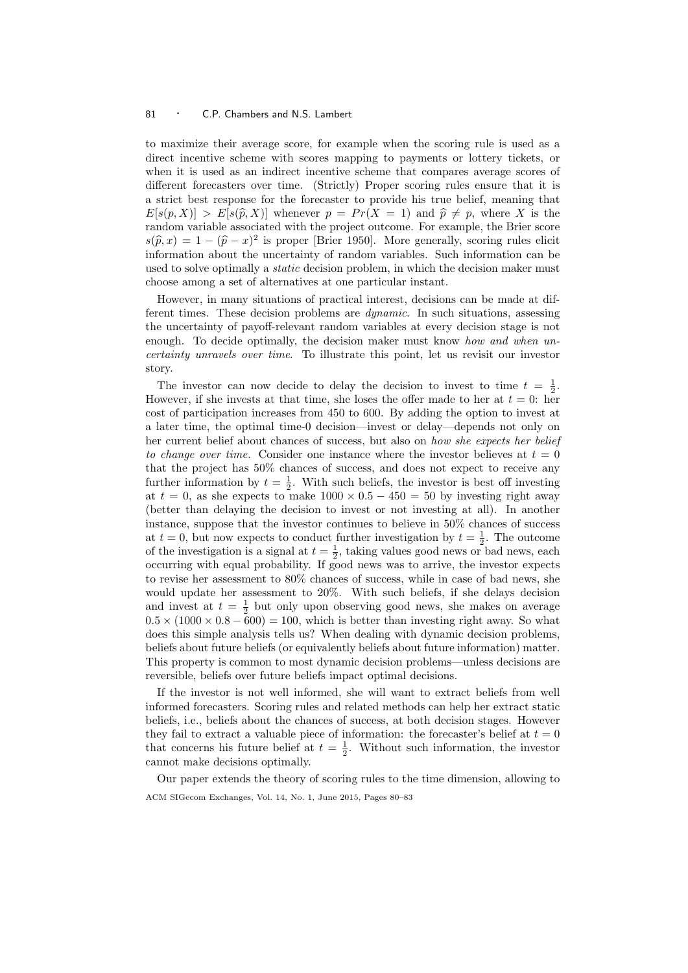## 81 · C.P. Chambers and N.S. Lambert

to maximize their average score, for example when the scoring rule is used as a direct incentive scheme with scores mapping to payments or lottery tickets, or when it is used as an indirect incentive scheme that compares average scores of different forecasters over time. (Strictly) Proper scoring rules ensure that it is a strict best response for the forecaster to provide his true belief, meaning that  $E[s(p, X)] > E[s(\hat{p}, X)]$  whenever  $p = Pr(X = 1)$  and  $\hat{p} \neq p$ , where X is the random variable associated with the project outcome. For example, the Brier score  $s(\hat{p}, x) = 1 - (\hat{p} - x)^2$  is proper [Brier 1950]. More generally, scoring rules elicity information about the uncertainty of random variables. Such information can be information about the uncertainty of random variables. Such information can be used to solve optimally a *static* decision problem, in which the decision maker must choose among a set of alternatives at one particular instant.

However, in many situations of practical interest, decisions can be made at different times. These decision problems are dynamic. In such situations, assessing the uncertainty of payoff-relevant random variables at every decision stage is not enough. To decide optimally, the decision maker must know how and when uncertainty unravels over time. To illustrate this point, let us revisit our investor story.

The investor can now decide to delay the decision to invest to time  $t = \frac{1}{2}$ . However, if she invests at that time, she loses the offer made to her at  $t = 0$ : her cost of participation increases from 450 to 600. By adding the option to invest at a later time, the optimal time-0 decision—invest or delay—depends not only on her current belief about chances of success, but also on how she expects her belief to change over time. Consider one instance where the investor believes at  $t = 0$ that the project has 50% chances of success, and does not expect to receive any further information by  $t = \frac{1}{2}$ . With such beliefs, the investor is best off investing at  $t = 0$ , as she expects to make  $1000 \times 0.5 - 450 = 50$  by investing right away (better than delaying the decision to invest or not investing at all). In another instance, suppose that the investor continues to believe in 50% chances of success at  $t = 0$ , but now expects to conduct further investigation by  $t = \frac{1}{2}$ . The outcome of the investigation is a signal at  $t = \frac{1}{2}$ , taking values good news or bad news, each occurring with equal probability. If good news was to arrive, the investor expects to revise her assessment to 80% chances of success, while in case of bad news, she would update her assessment to 20%. With such beliefs, if she delays decision and invest at  $t = \frac{1}{2}$  but only upon observing good news, she makes on average  $0.5 \times (1000 \times 0.8 - 600) = 100$ , which is better than investing right away. So what does this simple analysis tells us? When dealing with dynamic decision problems, beliefs about future beliefs (or equivalently beliefs about future information) matter. This property is common to most dynamic decision problems—unless decisions are reversible, beliefs over future beliefs impact optimal decisions.

If the investor is not well informed, she will want to extract beliefs from well informed forecasters. Scoring rules and related methods can help her extract static beliefs, i.e., beliefs about the chances of success, at both decision stages. However they fail to extract a valuable piece of information: the forecaster's belief at  $t = 0$ that concerns his future belief at  $t = \frac{1}{2}$ . Without such information, the investor cannot make decisions optimally.

Our paper extends the theory of scoring rules to the time dimension, allowing to ACM SIGecom Exchanges, Vol. 14, No. 1, June 2015, Pages 80–83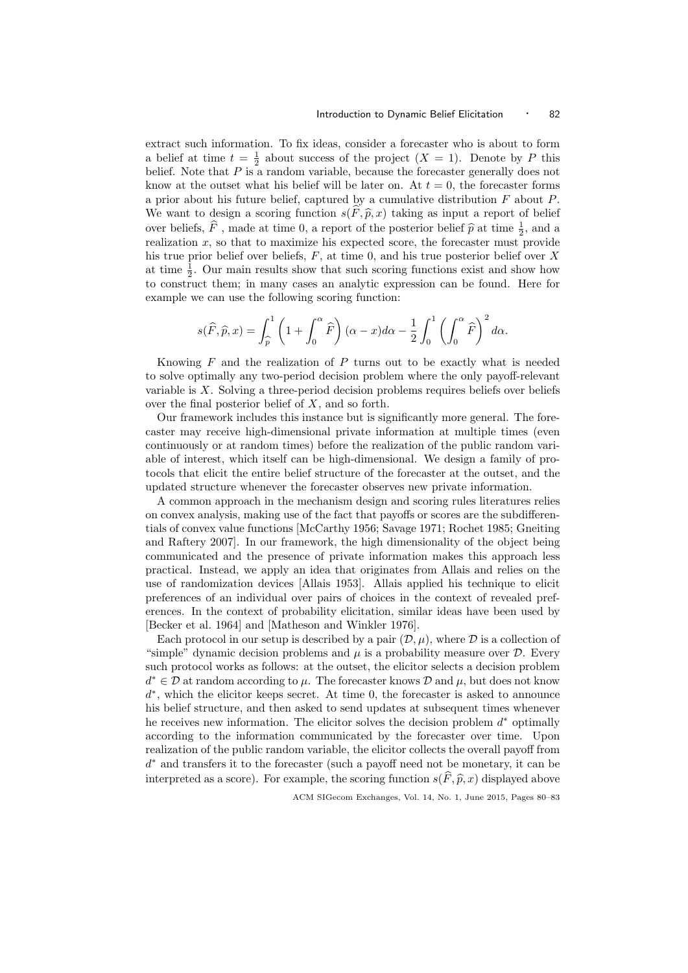extract such information. To fix ideas, consider a forecaster who is about to form a belief at time  $t = \frac{1}{2}$  about success of the project  $(X = 1)$ . Denote by P this belief. Note that  $P$  is a random variable, because the forecaster generally does not know at the outset what his belief will be later on. At  $t = 0$ , the forecaster forms a prior about his future belief, captured by a cumulative distribution  $F$  about  $P$ . We want to design a scoring function  $s(\tilde{F}, \hat{p}, x)$  taking as input a report of belief over beliefs,  $\hat{F}$ , made at time 0, a report of the posterior belief  $\hat{p}$  at time  $\frac{1}{2}$ , and a realization  $x$ , so that to maximize his expected seems the forecastor must provide realization  $x$ , so that to maximize his expected score, the forecaster must provide his true prior belief over beliefs,  $F$ , at time 0, and his true posterior belief over  $X$ at time  $\frac{1}{2}$ . Our main results show that such scoring functions exist and show how to construct them; in many cases an analytic expression can be found. Here for example we can use the following scoring function:

$$
s(\widehat{F}, \widehat{p}, x) = \int_{\widehat{p}}^{1} \left(1 + \int_{0}^{\alpha} \widehat{F}\right) (\alpha - x) d\alpha - \frac{1}{2} \int_{0}^{1} \left(\int_{0}^{\alpha} \widehat{F}\right)^{2} d\alpha.
$$

Knowing  $F$  and the realization of  $P$  turns out to be exactly what is needed to solve optimally any two-period decision problem where the only payoff-relevant variable is  $X$ . Solving a three-period decision problems requires beliefs over beliefs over the final posterior belief of X, and so forth.

Our framework includes this instance but is significantly more general. The forecaster may receive high-dimensional private information at multiple times (even continuously or at random times) before the realization of the public random variable of interest, which itself can be high-dimensional. We design a family of protocols that elicit the entire belief structure of the forecaster at the outset, and the updated structure whenever the forecaster observes new private information.

A common approach in the mechanism design and scoring rules literatures relies on convex analysis, making use of the fact that payoffs or scores are the subdifferentials of convex value functions [McCarthy 1956; Savage 1971; Rochet 1985; Gneiting and Raftery 2007]. In our framework, the high dimensionality of the object being communicated and the presence of private information makes this approach less practical. Instead, we apply an idea that originates from Allais and relies on the use of randomization devices [Allais 1953]. Allais applied his technique to elicit preferences of an individual over pairs of choices in the context of revealed preferences. In the context of probability elicitation, similar ideas have been used by [Becker et al. 1964] and [Matheson and Winkler 1976].

Each protocol in our setup is described by a pair  $(\mathcal{D}, \mu)$ , where  $\mathcal D$  is a collection of "simple" dynamic decision problems and  $\mu$  is a probability measure over  $\mathcal{D}$ . Every such protocol works as follows: at the outset, the elicitor selects a decision problem  $d^* \in \mathcal{D}$  at random according to  $\mu$ . The forecaster knows  $\mathcal{D}$  and  $\mu$ , but does not know d ∗ , which the elicitor keeps secret. At time 0, the forecaster is asked to announce his belief structure, and then asked to send updates at subsequent times whenever he receives new information. The elicitor solves the decision problem  $d^*$  optimally according to the information communicated by the forecaster over time. Upon realization of the public random variable, the elicitor collects the overall payoff from d <sup>∗</sup> and transfers it to the forecaster (such a payoff need not be monetary, it can be interpreted as a score). For example, the scoring function  $s(\widehat{F}, \widehat{p}, x)$  displayed above

ACM SIGecom Exchanges, Vol. 14, No. 1, June 2015, Pages 80–83